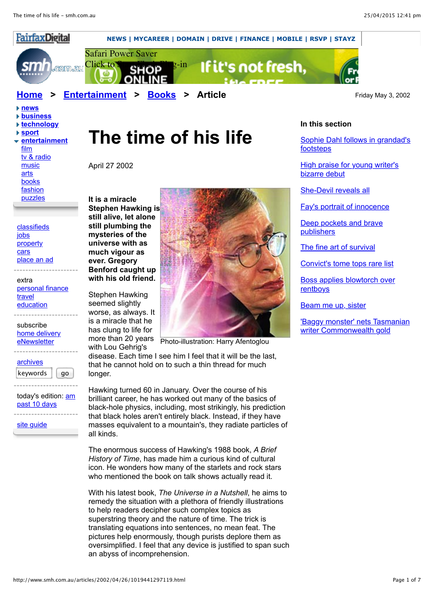

- **[news](http://www.smh.com.au/news/index.html)**
- **[business](http://www.smh.com.au/business/index.html)**
- **[technology](http://www.smh.com.au/technology/index.html)**
- **[sport](http://www.smh.com.au/sport/index.html)**
- **[entertainment](http://www.smh.com.au/entertainment/index.html)** [film](http://www.smh.com.au/entertainment/film/index.html) [tv & radio](http://www.smh.com.au/entertainment/tvradio/index.html) [music](http://www.smh.com.au/entertainment/music/index.html) [arts](http://www.smh.com.au/entertainment/arts/index.html)

[books](http://www.smh.com.au/entertainment/books/index.html) [fashion](http://www.smh.com.au/entertainment/fashion/index.html)

[puzzles](http://www.smh.com.au/entertainment/puzzles/index.html)

 [classifieds](http://www.smh.com.au/classifieds/index.html) [jobs](http://www.mycareer.com.au/) **[property](http://www.domain.com.au/)**  [cars](http://www.drive.com.au/) [place an ad](http://www.smh.com.au/classifieds/classifieds_placead.html)

 extra [personal finance](http://moneymanager.com.au/) [travel](http://www.smh.com.au/travel) [education](http://www.education.smh.com.au/)

 subscribe [home delivery](http://www.fairfax.com.au/cgi-bin/subs/smh.cgi) [eNewsletter](http://www.smh.com.au/newsletters/subscription.html)

| archives |    |
|----------|----|
| keywords | a٥ |

today's edition: [am](http://www.smh.com.au/am/2015/04/25/index.html) [past 10 days](http://www.smh.com.au/archive/)

[site guide](http://www.smh.com.au/siteguide/index.html)

## **The time of his life**

April 27 2002

**It is a miracle Stephen Hawking is still alive, let alone still plumbing the mysteries of the universe with as much vigour as ever. Gregory Benford caught up with his old friend.**

Stephen Hawking seemed slightly worse, as always. It is a miracle that he has clung to life for more than 20 years with Lou Gehrig's



Photo-illustration: Harry Afentoglou

disease. Each time I see him I feel that it will be the last, that he cannot hold on to such a thin thread for much longer.

Hawking turned 60 in January. Over the course of his brilliant career, he has worked out many of the basics of black-hole physics, including, most strikingly, his prediction that black holes aren't entirely black. Instead, if they have masses equivalent to a mountain's, they radiate particles of all kinds.

The enormous success of Hawking's 1988 book, *A Brief History of Time*, has made him a curious kind of cultural icon. He wonders how many of the starlets and rock stars who mentioned the book on talk shows actually read it.

With his latest book, *The Universe in a Nutshell*, he aims to remedy the situation with a plethora of friendly illustrations to help readers decipher such complex topics as superstring theory and the nature of time. The trick is translating equations into sentences, no mean feat. The pictures help enormously, though purists deplore them as oversimplified. I feel that any device is justified to span such an abyss of incomprehension.

## **In this section**

[Sophie Dahl follows in grandad's](http://www.smh.com.au/articles/2002/05/02/1019441412632.html) footsteps

[High praise for young writer's](http://www.smh.com.au/articles/2002/05/01/1019441391848.html) bizarre debut

[She-Devil reveals all](http://www.smh.com.au/articles/2002/04/30/1019441368414.html)

[Fay's portrait of innocence](http://www.smh.com.au/articles/2002/04/30/1019441368411.html)

[Deep pockets and brave](http://www.smh.com.au/articles/2002/04/30/1019441367999.html) publishers

[The fine art of survival](http://www.smh.com.au/articles/2002/04/30/1019441367996.html)

[Convict's tome tops rare list](http://www.smh.com.au/articles/2002/04/26/1019441307446.html)

[Boss applies blowtorch over](http://www.smh.com.au/articles/2002/04/26/1019441297184.html) rentboys

[Beam me up, sister](http://www.smh.com.au/articles/2002/04/26/1019441297116.html)

['Baggy monster' nets Tasmanian](http://www.smh.com.au/articles/2002/04/24/1019441263826.html) writer Commonwealth gold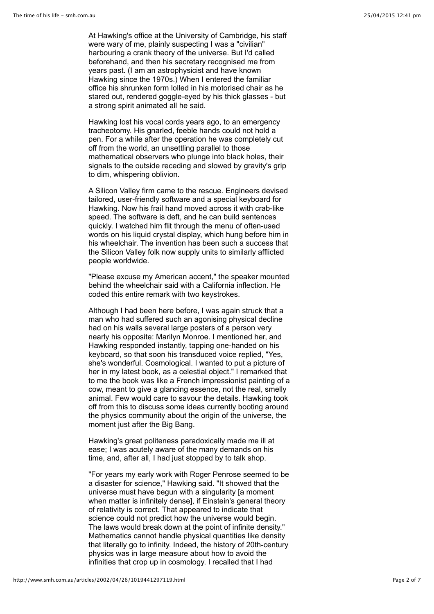At Hawking's office at the University of Cambridge, his staff were wary of me, plainly suspecting I was a "civilian" harbouring a crank theory of the universe. But I'd called beforehand, and then his secretary recognised me from years past. (I am an astrophysicist and have known Hawking since the 1970s.) When I entered the familiar office his shrunken form lolled in his motorised chair as he stared out, rendered goggle-eyed by his thick glasses - but a strong spirit animated all he said.

Hawking lost his vocal cords years ago, to an emergency tracheotomy. His gnarled, feeble hands could not hold a pen. For a while after the operation he was completely cut off from the world, an unsettling parallel to those mathematical observers who plunge into black holes, their signals to the outside receding and slowed by gravity's grip to dim, whispering oblivion.

A Silicon Valley firm came to the rescue. Engineers devised tailored, user-friendly software and a special keyboard for Hawking. Now his frail hand moved across it with crab-like speed. The software is deft, and he can build sentences quickly. I watched him flit through the menu of often-used words on his liquid crystal display, which hung before him in his wheelchair. The invention has been such a success that the Silicon Valley folk now supply units to similarly afflicted people worldwide.

"Please excuse my American accent," the speaker mounted behind the wheelchair said with a California inflection. He coded this entire remark with two keystrokes.

Although I had been here before, I was again struck that a man who had suffered such an agonising physical decline had on his walls several large posters of a person very nearly his opposite: Marilyn Monroe. I mentioned her, and Hawking responded instantly, tapping one-handed on his keyboard, so that soon his transduced voice replied, "Yes, she's wonderful. Cosmological. I wanted to put a picture of her in my latest book, as a celestial object." I remarked that to me the book was like a French impressionist painting of a cow, meant to give a glancing essence, not the real, smelly animal. Few would care to savour the details. Hawking took off from this to discuss some ideas currently booting around the physics community about the origin of the universe, the moment just after the Big Bang.

Hawking's great politeness paradoxically made me ill at ease; I was acutely aware of the many demands on his time, and, after all, I had just stopped by to talk shop.

"For years my early work with Roger Penrose seemed to be a disaster for science," Hawking said. "It showed that the universe must have begun with a singularity [a moment when matter is infinitely dense], if Einstein's general theory of relativity is correct. That appeared to indicate that science could not predict how the universe would begin. The laws would break down at the point of infinite density." Mathematics cannot handle physical quantities like density that literally go to infinity. Indeed, the history of 20th-century physics was in large measure about how to avoid the infinities that crop up in cosmology. I recalled that I had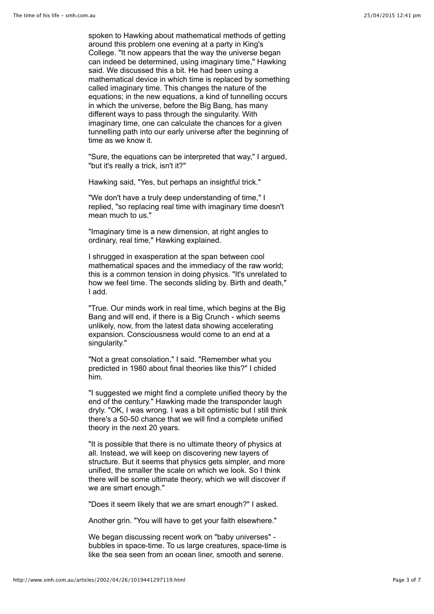spoken to Hawking about mathematical methods of getting around this problem one evening at a party in King's College. "It now appears that the way the universe began can indeed be determined, using imaginary time," Hawking said. We discussed this a bit. He had been using a mathematical device in which time is replaced by something called imaginary time. This changes the nature of the equations; in the new equations, a kind of tunnelling occurs in which the universe, before the Big Bang, has many different ways to pass through the singularity. With imaginary time, one can calculate the chances for a given tunnelling path into our early universe after the beginning of time as we know it.

"Sure, the equations can be interpreted that way," I argued, "but it's really a trick, isn't it?"

Hawking said, "Yes, but perhaps an insightful trick."

"We don't have a truly deep understanding of time," I replied, "so replacing real time with imaginary time doesn't mean much to us."

"Imaginary time is a new dimension, at right angles to ordinary, real time," Hawking explained.

I shrugged in exasperation at the span between cool mathematical spaces and the immediacy of the raw world; this is a common tension in doing physics. "It's unrelated to how we feel time. The seconds sliding by. Birth and death," I add.

"True. Our minds work in real time, which begins at the Big Bang and will end, if there is a Big Crunch - which seems unlikely, now, from the latest data showing accelerating expansion. Consciousness would come to an end at a singularity."

"Not a great consolation," I said. "Remember what you predicted in 1980 about final theories like this?" I chided him.

"I suggested we might find a complete unified theory by the end of the century." Hawking made the transponder laugh dryly. "OK, I was wrong. I was a bit optimistic but I still think there's a 50-50 chance that we will find a complete unified theory in the next 20 years.

"It is possible that there is no ultimate theory of physics at all. Instead, we will keep on discovering new layers of structure. But it seems that physics gets simpler, and more unified, the smaller the scale on which we look. So I think there will be some ultimate theory, which we will discover if we are smart enough."

"Does it seem likely that we are smart enough?" I asked.

Another grin. "You will have to get your faith elsewhere."

We began discussing recent work on "baby universes" bubbles in space-time. To us large creatures, space-time is like the sea seen from an ocean liner, smooth and serene.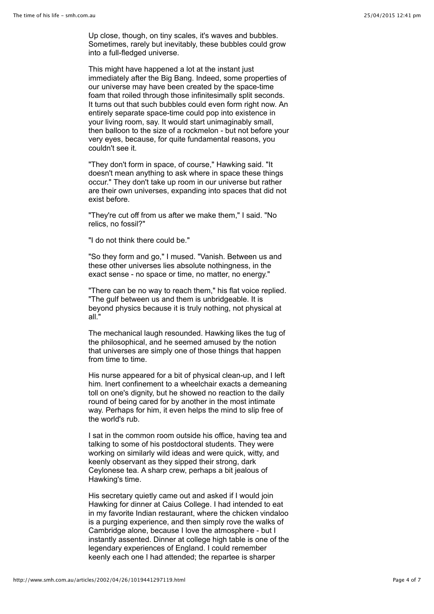Up close, though, on tiny scales, it's waves and bubbles. Sometimes, rarely but inevitably, these bubbles could grow into a full-fledged universe.

This might have happened a lot at the instant just immediately after the Big Bang. Indeed, some properties of our universe may have been created by the space-time foam that roiled through those infinitesimally split seconds. It turns out that such bubbles could even form right now. An entirely separate space-time could pop into existence in your living room, say. It would start unimaginably small, then balloon to the size of a rockmelon - but not before your very eyes, because, for quite fundamental reasons, you couldn't see it.

"They don't form in space, of course," Hawking said. "It doesn't mean anything to ask where in space these things occur." They don't take up room in our universe but rather are their own universes, expanding into spaces that did not exist before.

"They're cut off from us after we make them," I said. "No relics, no fossil?"

"I do not think there could be."

"So they form and go," I mused. "Vanish. Between us and these other universes lies absolute nothingness, in the exact sense - no space or time, no matter, no energy."

"There can be no way to reach them," his flat voice replied. "The gulf between us and them is unbridgeable. It is beyond physics because it is truly nothing, not physical at all."

The mechanical laugh resounded. Hawking likes the tug of the philosophical, and he seemed amused by the notion that universes are simply one of those things that happen from time to time.

His nurse appeared for a bit of physical clean-up, and I left him. Inert confinement to a wheelchair exacts a demeaning toll on one's dignity, but he showed no reaction to the daily round of being cared for by another in the most intimate way. Perhaps for him, it even helps the mind to slip free of the world's rub.

I sat in the common room outside his office, having tea and talking to some of his postdoctoral students. They were working on similarly wild ideas and were quick, witty, and keenly observant as they sipped their strong, dark Ceylonese tea. A sharp crew, perhaps a bit jealous of Hawking's time.

His secretary quietly came out and asked if I would join Hawking for dinner at Caius College. I had intended to eat in my favorite Indian restaurant, where the chicken vindaloo is a purging experience, and then simply rove the walks of Cambridge alone, because I love the atmosphere - but I instantly assented. Dinner at college high table is one of the legendary experiences of England. I could remember keenly each one I had attended; the repartee is sharper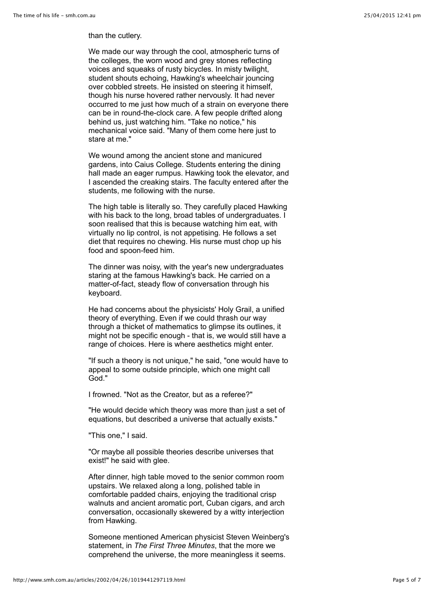## than the cutlery.

We made our way through the cool, atmospheric turns of the colleges, the worn wood and grey stones reflecting voices and squeaks of rusty bicycles. In misty twilight, student shouts echoing, Hawking's wheelchair jouncing over cobbled streets. He insisted on steering it himself, though his nurse hovered rather nervously. It had never occurred to me just how much of a strain on everyone there can be in round-the-clock care. A few people drifted along behind us, just watching him. "Take no notice," his mechanical voice said. "Many of them come here just to stare at me."

We wound among the ancient stone and manicured gardens, into Caius College. Students entering the dining hall made an eager rumpus. Hawking took the elevator, and I ascended the creaking stairs. The faculty entered after the students, me following with the nurse.

The high table is literally so. They carefully placed Hawking with his back to the long, broad tables of undergraduates. I soon realised that this is because watching him eat, with virtually no lip control, is not appetising. He follows a set diet that requires no chewing. His nurse must chop up his food and spoon-feed him.

The dinner was noisy, with the year's new undergraduates staring at the famous Hawking's back. He carried on a matter-of-fact, steady flow of conversation through his keyboard.

He had concerns about the physicists' Holy Grail, a unified theory of everything. Even if we could thrash our way through a thicket of mathematics to glimpse its outlines, it might not be specific enough - that is, we would still have a range of choices. Here is where aesthetics might enter.

"If such a theory is not unique," he said, "one would have to appeal to some outside principle, which one might call God."

I frowned. "Not as the Creator, but as a referee?"

"He would decide which theory was more than just a set of equations, but described a universe that actually exists."

"This one," I said.

"Or maybe all possible theories describe universes that exist!" he said with glee.

After dinner, high table moved to the senior common room upstairs. We relaxed along a long, polished table in comfortable padded chairs, enjoying the traditional crisp walnuts and ancient aromatic port, Cuban cigars, and arch conversation, occasionally skewered by a witty interjection from Hawking.

Someone mentioned American physicist Steven Weinberg's statement, in *The First Three Minutes*, that the more we comprehend the universe, the more meaningless it seems.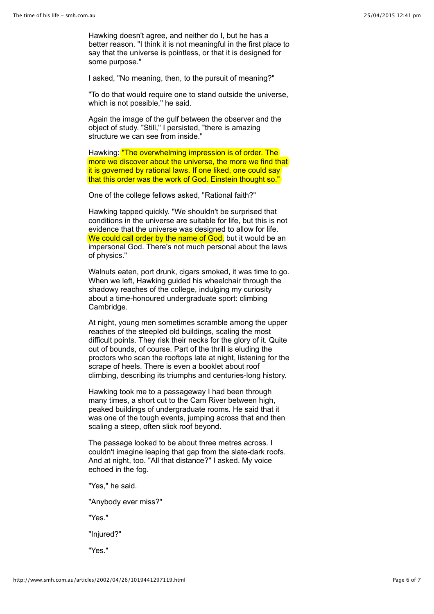Hawking doesn't agree, and neither do I, but he has a better reason. "I think it is not meaningful in the first place to say that the universe is pointless, or that it is designed for some purpose."

I asked, "No meaning, then, to the pursuit of meaning?"

"To do that would require one to stand outside the universe, which is not possible," he said.

Again the image of the gulf between the observer and the object of study. "Still," I persisted, "there is amazing structure we can see from inside."

Hawking: "The overwhelming impression is of order. The more we discover about the universe, the more we find that it is governed by rational laws. If one liked, one could say that this order was the work of God. Einstein thought so."

One of the college fellows asked, "Rational faith?"

Hawking tapped quickly. "We shouldn't be surprised that conditions in the universe are suitable for life, but this is not evidence that the universe was designed to allow for life. We could call order by the name of God, but it would be an impersonal God. There's not much personal about the laws of physics."

Walnuts eaten, port drunk, cigars smoked, it was time to go. When we left. Hawking guided his wheelchair through the shadowy reaches of the college, indulging my curiosity about a time-honoured undergraduate sport: climbing Cambridge.

At night, young men sometimes scramble among the upper reaches of the steepled old buildings, scaling the most difficult points. They risk their necks for the glory of it. Quite out of bounds, of course. Part of the thrill is eluding the proctors who scan the rooftops late at night, listening for the scrape of heels. There is even a booklet about roof climbing, describing its triumphs and centuries-long history.

Hawking took me to a passageway I had been through many times, a short cut to the Cam River between high, peaked buildings of undergraduate rooms. He said that it was one of the tough events, jumping across that and then scaling a steep, often slick roof beyond.

The passage looked to be about three metres across. I couldn't imagine leaping that gap from the slate-dark roofs. And at night, too. "All that distance?" I asked. My voice echoed in the fog.

"Yes," he said.

"Anybody ever miss?"

"Yes."

"Injured?"

"Yes."